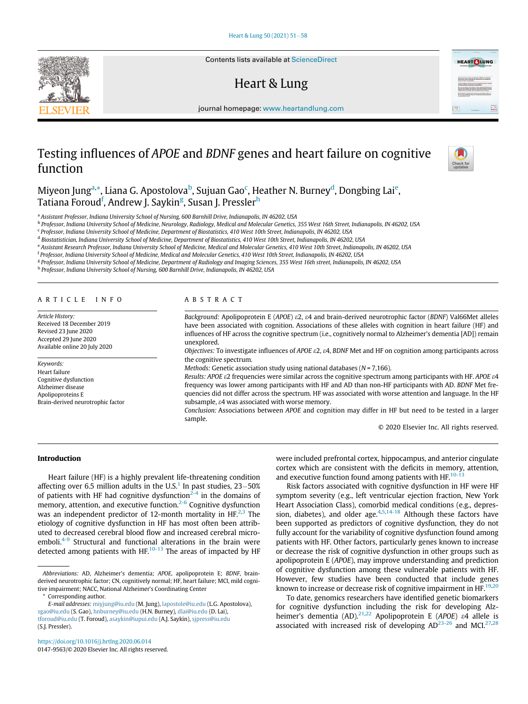Contents lists available at [ScienceDirect](http://www.ScienceDirect.com)

# Heart & Lung



journal homepage: [www.heartandlung.com](http://www.heartandlung.com)

# Testing influences of APOE and BDNF genes and heart failure on cognitive function



Miyeon Jung<sup>a,</sup>[\\*](#page-0-1), Liana G. Apostolova<sup>[b](#page-0-2)</sup>, Sujuan Gao<sup>[c](#page-0-3)</sup>, Heather N. Burney<sup>[d](#page-0-4)</sup>, Dongbing Lai<sup>e</sup>, Tatiana Foroud<sup>f</sup>, Andrew J. Saykin<sup>[g](#page-0-7)</sup>, Susan J. Pressler<sup>[h](#page-0-8)</sup>

<span id="page-0-0"></span><sup>a</sup> Assistant Professor, Indiana University School of Nursing, 600 Barnhill Drive, Indianapolis, IN 46202, USA

<span id="page-0-2"></span><sup>b</sup> Professor, Indiana University School of Medicine, Neurology, Radiology, Medical and Molecular Genetics, 355 West 16th Street, Indianapolis, IN 46202, USA

<span id="page-0-3"></span><sup>c</sup> Professor, Indiana University School of Medicine, Department of Biostatistics, 410 West 10th Street, Indianapolis, IN 46202, USA

<span id="page-0-4"></span><sup>d</sup> Biostatistician, Indiana University School of Medicine, Department of Biostatistics, 410 West 10th Street, Indianapolis, IN 46202, USA

<span id="page-0-6"></span><span id="page-0-5"></span>e Assistant Research Professor, Indiana University School of Medicine, Medical and Molecular Genetics, 410 West 10th Street, Indianapolis, IN 46202, USA

<sup>f</sup> Professor, Indiana University School of Medicine, Medical and Molecular Genetics, 410 West 10th Street, Indianapolis, IN 46202, USA

<span id="page-0-7"></span><sup>g</sup> Professor, Indiana University School of Medicine, Department of Radiology and Imaging Sciences, 355 West 16th street, Indianapolis, IN 46202, USA

<span id="page-0-8"></span>h Professor, Indiana University School of Nursing, 600 Barnhill Drive, Indianapolis, IN 46202, USA

### ARTICLE INFO

Article History: Received 18 December 2019 Revised 23 June 2020 Accepted 29 June 2020 Available online 20 July 2020

#### Keywords:

Heart failure Cognitive dysfunction Alzheimer disease Apolipoproteins E Brain-derived neurotrophic factor

## ABSTRACT

Background: Apolipoprotein E (APOE) e2, e4 and brain-derived neurotrophic factor (BDNF) Val66Met alleles have been associated with cognition. Associations of these alleles with cognition in heart failure (HF) and influences of HF across the cognitive spectrum (i.e., cognitively normal to Alzheimer's dementia [AD]) remain unexplored.

Objectives: To investigate influences of APOE  $\varepsilon$ 2,  $\varepsilon$ 4, BDNF Met and HF on cognition among participants across the cognitive spectrum.

Methods: Genetic association study using national databases ( $N = 7,166$ ).

Results: APOE  $\epsilon$ 2 frequencies were similar across the cognitive spectrum among participants with HF. APOE  $\epsilon$ 4 frequency was lower among participants with HF and AD than non-HF participants with AD. BDNF Met frequencies did not differ across the spectrum. HF was associated with worse attention and language. In the HF subsample, e4 was associated with worse memory.

Conclusion: Associations between APOE and cognition may differ in HF but need to be tested in a larger sample.

© 2020 Elsevier Inc. All rights reserved.

## Introduction

Heart failure (HF) is a highly prevalent life-threatening condition affecting over 6.5 million adults in the U.S.<sup>[1](#page-6-0)</sup> In past studies,  $23-50%$ of patients with HF had cognitive dysfunction<sup>[2-4](#page-6-1)</sup> in the domains of memory, attention, and executive function.<sup>[2-6](#page-6-1)</sup> Cognitive dysfunction was an independent predictor of 1[2](#page-6-1)-month mortality in  $HF^{2,3}$  $HF^{2,3}$  $HF^{2,3}$ . The etiology of cognitive dysfunction in HF has most often been attributed to decreased cerebral blood flow and increased cerebral microemboli. $4-9$  Structural and functional alterations in the brain were detected among patients with  $HF<sup>10-13</sup>$  The areas of impacted by HF

Corresponding author.

<span id="page-0-1"></span>E-mail addresses: [miyjung@iu.edu](mailto:miyjung@iu.edu) (M. Jung), [lapostole@iu.edu](mailto:lapostole@iu.edu) (L.G. Apostolova), [sgao@iu.edu](mailto:sgao@iu.edu) (S. Gao), [hnburney@iu.edu](mailto:hnburney@iu.edu) (H.N. Burney), [dlai@iu.edu](mailto:dlai@iu.edu) (D. Lai), [tforoud@iu.edu](mailto:tforoud@iu.edu) (T. Foroud), [asaykin@iupui.edu](mailto:asaykin@iupui.edu) (A.J. Saykin), [sjpress@iu.edu](mailto:sjpress@iu.edu) (S.J. Pressler).

<https://doi.org/10.1016/j.hrtlng.2020.06.014> 0147-9563/© 2020 Elsevier Inc. All rights reserved. were included prefrontal cortex, hippocampus, and anterior cingulate cortex which are consistent with the deficits in memory, attention, and executive function found among patients with HF. $10-13$ 

Risk factors associated with cognitive dysfunction in HF were HF symptom severity (e.g., left ventricular ejection fraction, New York Heart Association Class), comorbid medical conditions (e.g., depression, diabetes), and older age.  $4,5,14-18$  $4,5,14-18$  $4,5,14-18$  $4,5,14-18$  Although these factors have been supported as predictors of cognitive dysfunction, they do not fully account for the variability of cognitive dysfunction found among patients with HF. Other factors, particularly genes known to increase or decrease the risk of cognitive dysfunction in other groups such as apolipoprotein E (APOE), may improve understanding and prediction of cognitive dysfunction among these vulnerable patients with HF. However, few studies have been conducted that include genes known to increase or decrease risk of cognitive impairment in HF.<sup>19,[20](#page-6-8)</sup>

To date, genomics researchers have identified genetic biomarkers for cognitive dysfunction including the risk for developing Alz-heimer's dementia (AD).<sup>[21](#page-6-9),[22](#page-6-10)</sup> Apolipoprotein E (APOE)  $\varepsilon$ 4 allele is associated with increased risk of developing  $AD^{23-26}$  $AD^{23-26}$  $AD^{23-26}$  and MCI.<sup>27,[28](#page-6-13)</sup>

Abbreviations: AD, Alzheimer's dementia; APOE, apolipoprotein E; BDNF, brainderived neurotrophic factor; CN, cognitively normal; HF, heart failure; MCI, mild cognitive impairment; NACC, National Alzheimer's Coordinating Center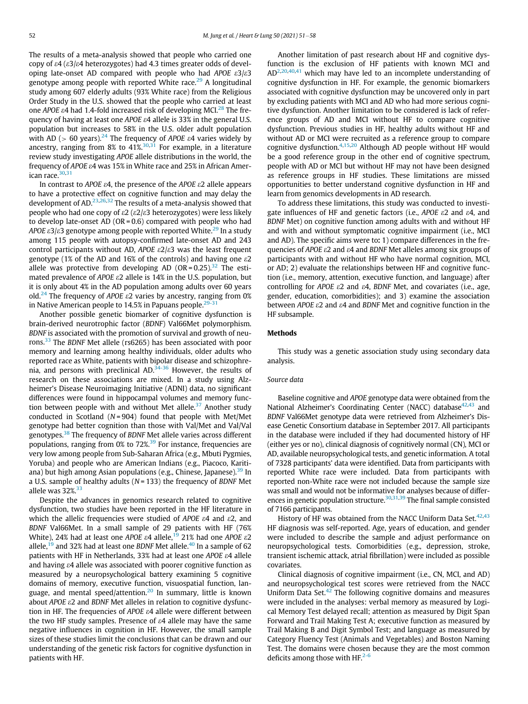The results of a meta-analysis showed that people who carried one copy of  $\epsilon$ 4 ( $\epsilon$ 3/ $\epsilon$ 4 heterozygotes) had 4.3 times greater odds of developing late-onset AD compared with people who had APOE  $\epsilon^2/\epsilon^2$ genotype among people with reported White race. $^{29}$  $^{29}$  $^{29}$  A longitudinal study among 607 elderly adults (93% White race) from the Religious Order Study in the U.S. showed that the people who carried at least one APOE  $\varepsilon$ 4 had 1.4-fold increased risk of developing MCI.<sup>[28](#page-6-13)</sup> The frequency of having at least one APOE e4 allele is 33% in the general U.S. population but increases to 58% in the U.S. older adult population with AD ( $> 60$  years).<sup>[24](#page-6-15)</sup> The frequency of APOE  $\varepsilon$ 4 varies widely by ancestry, ranging from 8% to  $41\%^{30,31}$  $41\%^{30,31}$  $41\%^{30,31}$  $41\%^{30,31}$  For example, in a literature review study investigating APOE allele distributions in the world, the frequency of APOE e4 was 15% in White race and 25% in African Amer-ican race.<sup>[30](#page-6-16),[31](#page-6-17)</sup>

In contrast to APOE  $\varepsilon$ 4, the presence of the APOE  $\varepsilon$ 2 allele appears to have a protective effect on cognitive function and may delay the development of AD.<sup>[23](#page-6-11),[26](#page-6-18),[32](#page-6-19)</sup> The results of a meta-analysis showed that people who had one copy of  $\epsilon$ 2 ( $\epsilon$ 2/ $\epsilon$ 3 heterozygotes) were less likely to develop late-onset AD ( $OR = 0.6$ ) compared with people who had APOE  $\epsilon$ 3/ $\epsilon$ 3 genotype among people with reported White.<sup>[29](#page-6-14)</sup> In a study among 115 people with autopsy-confirmed late-onset AD and 243 control participants without AD, APOE  $\varepsilon 2/\varepsilon 3$  was the least frequent genotype (1% of the AD and 16% of the controls) and having one  $\epsilon$ 2 allele was protective from developing AD (OR =  $0.25$ ).<sup>[32](#page-6-19)</sup> The estimated prevalence of APOE  $\epsilon$ 2 allele is 14% in the U.S. population, but it is only about 4% in the AD population among adults over 60 years old.<sup>[24](#page-6-15)</sup> The frequency of APOE  $\epsilon$ 2 varies by ancestry, ranging from 0% in Native American people to 14.5% in Papuans people.<sup>[29-31](#page-6-14)</sup>

Another possible genetic biomarker of cognitive dysfunction is brain-derived neurotrophic factor (BDNF) Val66Met polymorphism. BDNF is associated with the promotion of survival and growth of neurons.[33](#page-6-20) The BDNF Met allele (rs6265) has been associated with poor memory and learning among healthy individuals, older adults who reported race as White, patients with bipolar disease and schizophrenia, and persons with preclinical AD.[34-36](#page-6-21) However, the results of research on these associations are mixed. In a study using Alzheimer's Disease Neuroimaging Initiative (ADNI) data, no significant differences were found in hippocampal volumes and memory func-tion between people with and without Met allele.<sup>[37](#page-6-22)</sup> Another study conducted in Scotland ( $N = 904$ ) found that people with Met/Met genotype had better cognition than those with Val/Met and Val/Val genotypes.<sup>[38](#page-6-23)</sup> The frequency of BDNF Met allele varies across different populations, ranging from  $0\%$  to 72%.<sup>[39](#page-6-24)</sup> For instance, frequencies are very low among people from Sub-Saharan Africa (e.g., Mbuti Pygmies, Yoruba) and people who are American Indians (e.g., Piacoco, Karitiana) but high among Asian populations (e.g., Chinese, Japanese). $39 \text{ In}$  $39 \text{ In}$ a U.S. sample of healthy adults ( $N = 133$ ) the frequency of BDNF Met allele was  $32\%$ <sup>[33](#page-6-20)</sup>

Despite the advances in genomics research related to cognitive dysfunction, two studies have been reported in the HF literature in which the allelic frequencies were studied of APOE  $\varepsilon$ 4 and  $\varepsilon$ 2, and BDNF Val66Met. In a small sample of 29 patients with HF (76% White), 24% had at least one APOE  $\varepsilon$ 4 allele,<sup>[19](#page-6-7)</sup> 21% had one APOE  $\varepsilon$ 2 allele,  $19$  and 32% had at least one BDNF Met allele.<sup>[40](#page-6-25)</sup> In a sample of 62 patients with HF in Netherlands, 33% had at least one APOE e4 allele and having  $\varepsilon$ 4 allele was associated with poorer cognitive function as measured by a neuropsychological battery examining 5 cognitive domains of memory, executive function, visuospatial function, language, and mental speed/attention.[20](#page-6-8) In summary, little is known about APOE  $\varepsilon$ 2 and BDNF Met alleles in relation to cognitive dysfunction in HF. The frequencies of APOE  $\varepsilon$ 4 allele were different between the two HF study samples. Presence of  $\varepsilon$ 4 allele may have the same negative influences in cognition in HF. However, the small sample sizes of these studies limit the conclusions that can be drawn and our understanding of the genetic risk factors for cognitive dysfunction in patients with HF.

Another limitation of past research about HF and cognitive dysfunction is the exclusion of HF patients with known MCI and  $AD^{2,20,40,41}$  $AD^{2,20,40,41}$  $AD^{2,20,40,41}$  $AD^{2,20,40,41}$  $AD^{2,20,40,41}$  $AD^{2,20,40,41}$  $AD^{2,20,40,41}$  $AD^{2,20,40,41}$  which may have led to an incomplete understanding of cognitive dysfunction in HF. For example, the genomic biomarkers associated with cognitive dysfunction may be uncovered only in part by excluding patients with MCI and AD who had more serious cognitive dysfunction. Another limitation to be considered is lack of reference groups of AD and MCI without HF to compare cognitive dysfunction. Previous studies in HF, healthy adults without HF and without AD or MCI were recruited as a reference group to compare cognitive dysfunction.[4](#page-6-3),[15,](#page-6-27)[20](#page-6-8) Although AD people without HF would be a good reference group in the other end of cognitive spectrum, people with AD or MCI but without HF may not have been designed as reference groups in HF studies. These limitations are missed opportunities to better understand cognitive dysfunction in HF and learn from genomics developments in AD research.

To address these limitations, this study was conducted to investigate influences of HF and genetic factors (i.e., APOE  $\epsilon$ 2 and  $\epsilon$ 4, and BDNF Met) on cognitive function among adults with and without HF and with and without symptomatic cognitive impairment (i.e., MCI and AD). The specific aims were to: 1) compare differences in the frequencies of APOE e2 and e4 and BDNF Met alleles among six groups of participants with and without HF who have normal cognition, MCI, or AD; 2) evaluate the relationships between HF and cognitive function (i.e., memory, attention, executive function, and language) after controlling for APOE  $\varepsilon$ 2 and  $\varepsilon$ 4, BDNF Met, and covariates (i.e., age, gender, education, comorbidities); and 3) examine the association between APOE  $\epsilon$ 2 and  $\epsilon$ 4 and BDNF Met and cognitive function in the HF subsample.

## Methods

This study was a genetic association study using secondary data analysis.

### Source data

Baseline cognitive and APOE genotype data were obtained from the National Alzheimer's Coordinating Center (NACC) database<sup>[42](#page-6-28),[43](#page-6-29)</sup> and BDNF Val66Met genotype data were retrieved from Alzheimer's Disease Genetic Consortium database in September 2017. All participants in the database were included if they had documented history of HF (either yes or no), clinical diagnosis of cognitively normal (CN), MCI or AD, available neuropsychological tests, and genetic information. A total of 7328 participants' data were identified. Data from participants with reported White race were included. Data from participants with reported non-White race were not included because the sample size was small and would not be informative for analyses because of differ-ences in genetic population structure.<sup>[30](#page-6-16),[31](#page-6-17),[39](#page-6-24)</sup> The final sample consisted of 7166 participants.

History of HF was obtained from the NACC Uniform Data Set.<sup>[42,](#page-6-28)[43](#page-6-29)</sup> HF diagnosis was self-reported. Age, years of education, and gender were included to describe the sample and adjust performance on neuropsychological tests. Comorbidities (e.g., depression, stroke, transient ischemic attack, atrial fibrillation) were included as possible covariates.

Clinical diagnosis of cognitive impairment (i.e., CN, MCI, and AD) and neuropsychological test scores were retrieved from the NACC Uniform Data Set. $42$  The following cognitive domains and measures were included in the analyses: verbal memory as measured by Logical Memory Test delayed recall; attention as measured by Digit Span Forward and Trail Making Test A; executive function as measured by Trail Making B and Digit Symbol Test; and language as measured by Category Fluency Test (Animals and Vegetables) and Boston Naming Test. The domains were chosen because they are the most common deficits among those with HF.<sup>[2-6](#page-6-1)</sup>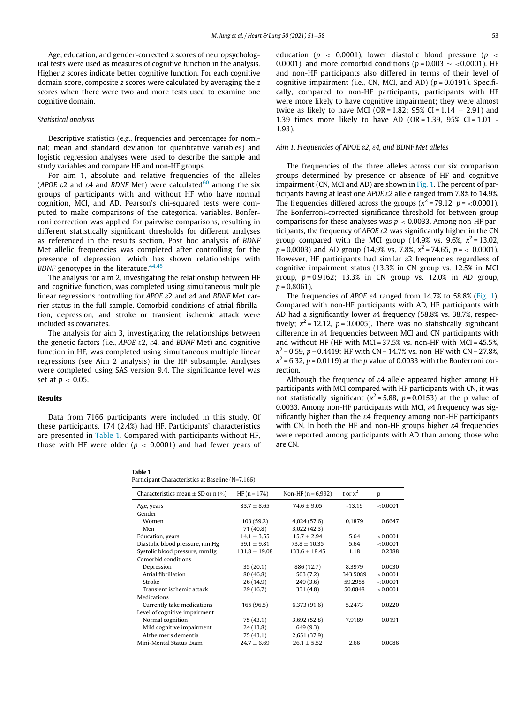Age, education, and gender-corrected z scores of neuropsychological tests were used as measures of cognitive function in the analysis. Higher z scores indicate better cognitive function. For each cognitive domain score, composite z scores were calculated by averaging the z scores when there were two and more tests used to examine one cognitive domain.

## Statistical analysis

Descriptive statistics (e.g., frequencies and percentages for nominal; mean and standard deviation for quantitative variables) and logistic regression analyses were used to describe the sample and study variables and compare HF and non-HF groups.

For aim 1, absolute and relative frequencies of the alleles (APOE  $\varepsilon$ 2 and  $\varepsilon$ 4 and BDNF Met) were calculated<sup>[60](#page-7-0)</sup> among the six groups of participants with and without HF who have normal cognition, MCI, and AD. Pearson's chi-squared tests were computed to make comparisons of the categorical variables. Bonferroni correction was applied for pairwise comparisons, resulting in different statistically significant thresholds for different analyses as referenced in the results section. Post hoc analysis of BDNF Met allelic frequencies was completed after controlling for the presence of depression, which has shown relationships with BDNF genotypes in the literature. $44,45$  $44,45$  $44,45$ 

The analysis for aim 2, investigating the relationship between HF and cognitive function, was completed using simultaneous multiple linear regressions controlling for APOE  $\epsilon$ 2 and  $\epsilon$ 4 and BDNF Met carrier status in the full sample. Comorbid conditions of atrial fibrillation, depression, and stroke or transient ischemic attack were included as covariates.

The analysis for aim 3, investigating the relationships between the genetic factors (i.e., APOE  $\epsilon$ 2,  $\epsilon$ 4, and BDNF Met) and cognitive function in HF, was completed using simultaneous multiple linear regressions (see Aim 2 analysis) in the HF subsample. Analyses were completed using SAS version 9.4. The significance level was set at  $p < 0.05$ .

### Results

<span id="page-2-0"></span>Data from 7166 participants were included in this study. Of these participants, 174 (2.4%) had HF. Participants' characteristics are presented in [Table 1](#page-2-0). Compared with participants without HF, those with HF were older ( $p < 0.0001$ ) and had fewer years of education ( $p < 0.0001$ ), lower diastolic blood pressure ( $p <$ 0.0001), and more comorbid conditions ( $p = 0.003 \sim 0.0001$ ). HF and non-HF participants also differed in terms of their level of cognitive impairment (i.e., CN, MCI, and AD) ( $p = 0.0191$ ). Specifically, compared to non-HF participants, participants with HF were more likely to have cognitive impairment; they were almost twice as likely to have MCI (OR =  $1.82$ ; 95% CI =  $1.14 - 2.91$ ) and 1.39 times more likely to have AD (OR = 1.39, 95% CI =  $1.01$  -1.93).

#### Aim 1. Frequencies of APOE e2, e4, and BDNF Met alleles

The frequencies of the three alleles across our six comparison groups determined by presence or absence of HF and cognitive impairment (CN, MCI and AD) are shown in [Fig. 1](#page-3-0). The percent of participants having at least one APOE e2 allele ranged from 7.8% to 14.9%. The frequencies differed across the groups ( $x^2$  = 79.12, p = <0.0001). The Bonferroni-corrected significance threshold for between group comparisons for these analyses was  $p < 0.0033$ . Among non-HF participants, the frequency of APOE  $\epsilon$ 2 was significantly higher in the CN group compared with the MCI group (14.9% vs. 9.6%,  $x^2 = 13.02$ ,  $p = 0.0003$ ) and AD group (14.9% vs. 7.8%,  $x^2 = 74.65$ ,  $p = \langle 0.0001 \rangle$ . However, HF participants had similar  $\varepsilon$ 2 frequencies regardless of cognitive impairment status (13.3% in CN group vs. 12.5% in MCI group,  $p = 0.9162$ ; 13.3% in CN group vs. 12.0% in AD group,  $p = 0.8061$ ).

The frequencies of APOE  $\varepsilon$ 4 ranged from 14.7% to 58.8% ([Fig. 1\)](#page-3-0). Compared with non-HF participants with AD, HF participants with AD had a significantly lower  $\epsilon$ 4 frequency (58.8% vs. 38.7%, respectively;  $x^2 = 12.12$ ,  $p = 0.0005$ ). There was no statistically significant difference in e4 frequencies between MCI and CN participants with and without HF (HF with MCI =  $37.5\%$  vs. non-HF with MCI =  $45.5\%$ ,  $x^{2} = 0.59$ , p = 0.4419; HF with CN = 14.7% vs. non-HF with CN = 27.8%,  $x^2$  = 6.32, p = 0.0119) at the p value of 0.0033 with the Bonferroni correction.

Although the frequency of  $\varepsilon$ 4 allele appeared higher among HF participants with MCI compared with HF participants with CN, it was not statistically significant ( $x^2$ = 5.88, p = 0.0153) at the p value of 0.0033. Among non-HF participants with MCI, e4 frequency was significantly higher than the  $\varepsilon$ 4 frequency among non-HF participants with CN. In both the HF and non-HF groups higher  $\varepsilon$ 4 frequencies were reported among participants with AD than among those who are CN.

| Table 1                                           |
|---------------------------------------------------|
| Participant Characteristics at Baseline (N=7,166) |

| Characteristics mean $\pm$ SD or n (%) | HF $(n = 174)$    | Non-HF $(n = 6,992)$ | t or $x^2$ | p           |
|----------------------------------------|-------------------|----------------------|------------|-------------|
| Age, years                             | $83.7 + 8.65$     | $74.6 + 9.05$        | $-13.19$   | ${<}0.0001$ |
| Gender                                 |                   |                      |            |             |
| Women                                  | 103 (59.2)        | 4,024(57.6)          | 0.1879     | 0.6647      |
| Men                                    | 71 (40.8)         | 3,022(42.3)          |            |             |
| Education, years                       | $14.1 + 3.55$     | $15.7 + 2.94$        | 5.64       | < 0.0001    |
| Diastolic blood pressure, mmHg         | $69.1 \pm 9.81$   | $73.8 \pm 10.35$     | 5.64       | ${<}0.0001$ |
| Systolic blood pressure, mmHg          | $131.8 \pm 19.08$ | $133.6 \pm 18.45$    | 1.18       | 0.2388      |
| Comorbid conditions                    |                   |                      |            |             |
| Depression                             | 35(20.1)          | 886 (12.7)           | 8.3979     | 0.0030      |
| Atrial fibrillation                    | 80(46.8)          | 503(7.2)             | 343.5089   | < 0.0001    |
| Stroke                                 | 26 (14.9)         | 249(3.6)             | 59.2958    | ${<}0.0001$ |
| Transient ischemic attack              | 29(16.7)          | 331(4.8)             | 50.0848    | ${<}0.0001$ |
| Medications                            |                   |                      |            |             |
| Currently take medications             | 165 (96.5)        | 6,373(91.6)          | 5.2473     | 0.0220      |
| Level of cognitive impairment          |                   |                      |            |             |
| Normal cognition                       | 75 (43.1)         | 3,692(52.8)          | 7.9189     | 0.0191      |
| Mild cognitive impairment              | 24(13.8)          | 649(9.3)             |            |             |
| Alzheimer's dementia                   | 75 (43.1)         | 2,651 (37.9)         |            |             |
| Mini-Mental Status Exam                | $24.7 + 6.69$     | $26.1 + 5.52$        | 2.66       | 0.0086      |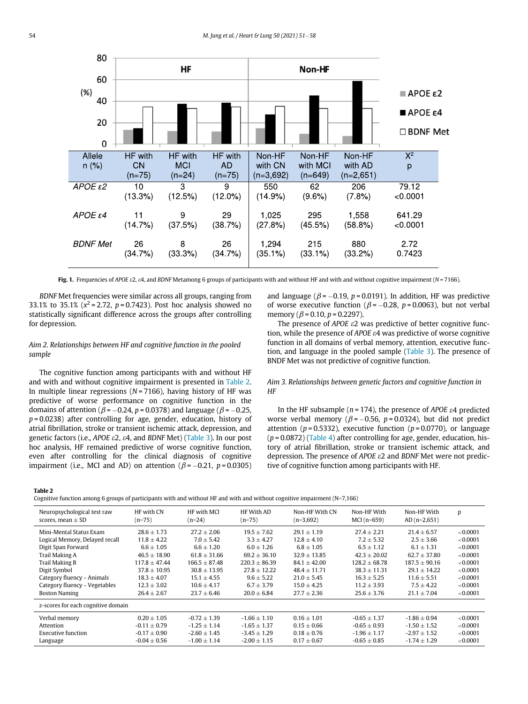<span id="page-3-0"></span>

Fig. 1. Frequencies of APOE  $\epsilon 2$ ,  $\epsilon 4$ , and BDNF Metamong 6 groups of participants with and without HF and with and without cognitive impairment (N = 7166).

BDNF Met frequencies were similar across all groups, ranging from 33.1% to 35.1% ( $x^2 = 2.72$ ,  $p = 0.7423$ ). Post hoc analysis showed no statistically significant difference across the groups after controlling for depression.

## Aim 2. Relationships between HF and cognitive function in the pooled sample

The cognitive function among participants with and without HF and with and without cognitive impairment is presented in [Table 2.](#page-3-1) In multiple linear regressions ( $N = 7166$ ), having history of HF was predictive of worse performance on cognitive function in the domains of attention ( $\beta$  = -0.24, p = 0.0378) and language ( $\beta$  = -0.25,  $p = 0.0238$ ) after controlling for age, gender, education, history of atrial fibrillation, stroke or transient ischemic attack, depression, and genetic factors (i.e., APOE e2, e4, and BDNF Met) ([Table 3](#page-4-0)). In our post hoc analysis, HF remained predictive of worse cognitive function, even after controlling for the clinical diagnosis of cognitive impairment (i.e., MCI and AD) on attention ( $\beta$  = -0.21, p = 0.0305) and language ( $\beta$  = -0.19, p = 0.0191). In addition, HF was predictive of worse executive function ( $\beta$  = -0.28, p = 0.0063), but not verbal memory ( $\beta$  = 0.10,  $p$  = 0.2297).

The presence of APOE  $\epsilon$ 2 was predictive of better cognitive function, while the presence of APOE e4 was predictive of worse cognitive function in all domains of verbal memory, attention, executive function, and language in the pooled sample ([Table 3\)](#page-4-0). The presence of BNDF Met was not predictive of cognitive function.

## Aim 3. Relationships between genetic factors and cognitive function in HF

In the HF subsample ( $n = 174$ ), the presence of APOE  $\varepsilon$ 4 predicted worse verbal memory ( $\beta$  = -0.56, p = 0.0324), but did not predict attention ( $p = 0.5332$ ), executive function ( $p = 0.0770$ ), or language  $(p = 0.0872)$  [\(Table 4](#page-4-1)) after controlling for age, gender, education, history of atrial fibrillation, stroke or transient ischemic attack, and depression. The presence of APOE  $\epsilon$ 2 and BDNF Met were not predictive of cognitive function among participants with HF.

<span id="page-3-1"></span>Table 2

Cognitive function among 6 groups of participants with and without HF and with and without cognitive impairment  $(N=7,166)$ 

| Neuropsychological test raw<br>scores, mean $\pm$ SD | HF with CN<br>$(n=75)$ | HF with MCI<br>$(n=24)$ | HF With AD<br>$(n=75)$ | Non-HF With CN<br>$(n=3,692)$ | Non-HF With<br>$MCI(n=659)$ | Non-HF With<br>$AD(n=2,651)$ | p        |
|------------------------------------------------------|------------------------|-------------------------|------------------------|-------------------------------|-----------------------------|------------------------------|----------|
| Mini-Mental Status Exam                              | $28.6 \pm 1.73$        | $27.2 \pm 2.06$         | $19.5 \pm 7.62$        | $29.1 \pm 1.19$               | $27.4 \pm 2.21$             | $21.4 \pm 6.57$              | < 0.0001 |
| Logical Memory, Delayed recall                       | $11.8 \pm 4.22$        | $7.0 \pm 5.42$          | $3.3 \pm 4.27$         | $12.8 \pm 4.10$               | $7.2 \pm 5.32$              | $2.5 \pm 3.66$               | < 0.0001 |
| Digit Span Forward                                   | $6.6 + 1.05$           | $6.6 \pm 1.20$          | $6.0 + 1.26$           | $6.8 \pm 1.05$                | $6.5 + 1.12$                | $6.1 + 1.31$                 | < 0.0001 |
| Trail Making A                                       | $46.5 \pm 18.90$       | $61.8 \pm 31.66$        | $69.2 \pm 36.10$       | $32.9 \pm 13.85$              | $42.3 \pm 20.02$            | $62.7 \pm 37.80$             | < 0.0001 |
| Trail Making B                                       | $117.8 + 47.44$        | $166.5 + 87.48$         | $220.3 + 86.39$        | $84.1 + 42.00$                | $128.2 + 68.78$             | $187.5 + 90.16$              | < 0.0001 |
| Digit Symbol                                         | $37.8 \pm 10.95$       | $30.8 \pm 13.95$        | $27.8 + 12.22$         | $48.4 \pm 11.71$              | $38.3 \pm 11.31$            | $29.1 \pm 14.22$             | < 0.0001 |
| Category fluency - Animals                           | $18.3 + 4.07$          | $15.1 + 4.55$           | $9.6 + 5.22$           | $21.0 + 5.45$                 | $16.3 + 5.25$               | $11.6 + 5.51$                | < 0.0001 |
| Category fluency - Vegetables                        | $12.3 \pm 3.02$        | $10.6 + 4.17$           | $6.7 + 3.79$           | $15.0 + 4.25$                 | $11.2 + 3.93$               | $7.5 + 4.22$                 | < 0.0001 |
| <b>Boston Naming</b>                                 | $26.4 \pm 2.67$        | $23.7 \pm 6.46$         | $20.0 \pm 6.84$        | $27.7 \pm 2.36$               | $25.6 \pm 3.76$             | $21.1 \pm 7.04$              | < 0.0001 |
| z-scores for each cognitive domain                   |                        |                         |                        |                               |                             |                              |          |
| Verbal memory                                        | $0.20 + 1.05$          | $-0.72 + 1.39$          | $-1.66 \pm 1.10$       | $0.16 + 1.01$                 | $-0.65 \pm 1.37$            | $-1.86 \pm 0.94$             | < 0.0001 |
| Attention                                            | $-0.11 \pm 0.79$       | $-1.25 + 1.14$          | $-1.65 \pm 1.37$       | $0.15 + 0.66$                 | $-0.65 + 0.93$              | $-1.50 + 1.52$               | < 0.0001 |
| <b>Executive function</b>                            | $-0.17 \pm 0.90$       | $-2.60 \pm 1.45$        | $-3.45 \pm 1.29$       | $0.18 \pm 0.76$               | $-1.96 \pm 1.17$            | $-2.97 \pm 1.52$             | < 0.0001 |
| Language                                             | $-0.04 \pm 0.56$       | $-1.00 \pm 1.14$        | $-2.00 \pm 1.15$       | $0.17 \pm 0.67$               | $-0.65 \pm 0.85$            | $-1.74 \pm 1.29$             | < 0.0001 |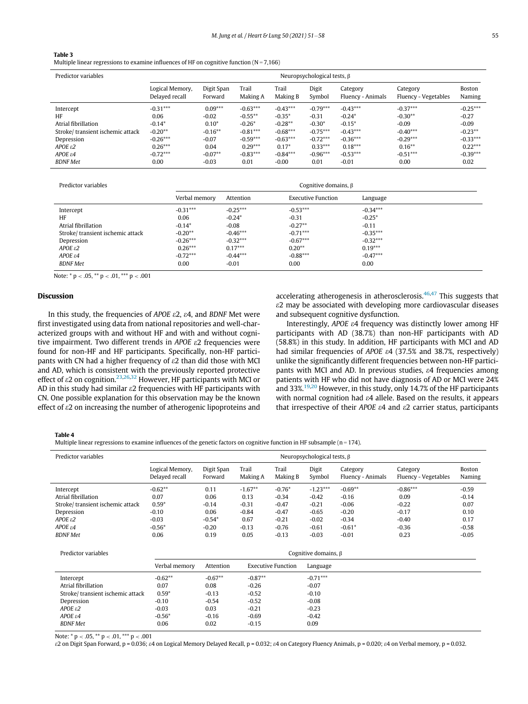## <span id="page-4-0"></span>Table 3

Multiple linear regressions to examine influences of HF on cognitive function ( $N = 7,166$ )

| Predictor variables              | Neuropsychological tests, $\beta$ |                       |                   |                   |                 |                               |                                  |                  |
|----------------------------------|-----------------------------------|-----------------------|-------------------|-------------------|-----------------|-------------------------------|----------------------------------|------------------|
|                                  | Logical Memory,<br>Delayed recall | Digit Span<br>Forward | Trail<br>Making A | Trail<br>Making B | Digit<br>Symbol | Category<br>Fluency - Animals | Category<br>Fluency - Vegetables | Boston<br>Naming |
| Intercept                        | $-0.31***$                        | $0.09***$             | $-0.63***$        | $-0.43***$        | $-0.79***$      | $-0.43***$                    | $-0.37***$                       | $-0.25***$       |
| HF                               | 0.06                              | $-0.02$               | $-0.55***$        | $-0.35*$          | $-0.31$         | $-0.24*$                      | $-0.30**$                        | $-0.27$          |
| Atrial fibrillation              | $-0.14*$                          | $0.10*$               | $-0.26*$          | $-0.28**$         | $-0.30*$        | $-0.15*$                      | $-0.09$                          | $-0.09$          |
| Stroke/transient ischemic attack | $-0.20**$                         | $-0.16***$            | $-0.81***$        | $-0.68***$        | $-0.75***$      | $-0.43***$                    | $-0.40***$                       | $-0.23**$        |
| Depression                       | $-0.26***$                        | $-0.07$               | $-0.59***$        | $-0.63***$        | $-0.72***$      | $-0.36***$                    | $-0.29***$                       | $-0.33***$       |
| $APOE$ $\varepsilon$ 2           | $0.26***$                         | 0.04                  | $0.29***$         | $0.17*$           | $0.33***$       | $0.18***$                     | $0.16***$                        | $0.22***$        |
| $APOE \varepsilon4$              | $-0.72***$                        | $-0.07**$             | $-0.83***$        | $-0.84***$        | $-0.96***$      | $-0.53***$                    | $-0.51***$                       | $-0.39***$       |
| <b>BDNF</b> Met                  | 0.00                              | $-0.03$               | 0.01              | $-0.00$           | 0.01            | $-0.01$                       | 0.00                             | 0.02             |

Predictor variables **Cognitive domains, β** cognitive domains, β

|                                  | Verbal memory | Attention  | <b>Executive Function</b> | Language   |
|----------------------------------|---------------|------------|---------------------------|------------|
| Intercept                        | $-0.31***$    | $-0.25***$ | $-0.53***$                | $-0.34***$ |
| HF                               | 0.06          | $-0.24*$   | $-0.31$                   | $-0.25*$   |
| Atrial fibrillation              | $-0.14*$      | $-0.08$    | $-0.27**$                 | $-0.11$    |
| Stroke/transient ischemic attack | $-0.20**$     | $-0.46***$ | $-0.71***$                | $-0.35***$ |
| Depression                       | $-0.26***$    | $-0.32***$ | $-0.67***$                | $-0.32***$ |
| $APOE \varepsilon2$              | $0.26***$     | $0.17***$  | $0.20**$                  | $0.19***$  |
| $APOE \varepsilon4$              | $-0.72***$    | $-0.44***$ | $-0.88***$                | $-0.47***$ |
| <b>BDNF</b> Met                  | 0.00          | $-0.01$    | 0.00                      | 0.00       |

Note: \* p < .05, \*\* p < .01, \*\*\* p < .001

## Discussion

In this study, the frequencies of APOE  $\epsilon$ 2,  $\epsilon$ 4, and BDNF Met were first investigated using data from national repositories and well-characterized groups with and without HF and with and without cognitive impairment. Two different trends in APOE  $\epsilon$ 2 frequencies were found for non-HF and HF participants. Specifically, non-HF participants with CN had a higher frequency of  $\varepsilon$ 2 than did those with MCI and AD, which is consistent with the previously reported protective effect of  $\varepsilon$ 2 on cognition.<sup>[23](#page-6-11)[,26](#page-6-18),[32](#page-6-19)</sup> However, HF participants with MCI or AD in this study had similar  $\varepsilon$ 2 frequencies with HF participants with CN. One possible explanation for this observation may be the known effect of  $\epsilon$ 2 on increasing the number of atherogenic lipoproteins and accelerating atherogenesis in atherosclerosis. $46,47$  $46,47$  This suggests that  $\epsilon$ 2 may be associated with developing more cardiovascular diseases and subsequent cognitive dysfunction.

Interestingly, APOE  $\varepsilon$ 4 frequency was distinctly lower among HF participants with AD (38.7%) than non-HF participants with AD (58.8%) in this study. In addition, HF participants with MCI and AD had similar frequencies of APOE  $\varepsilon$ 4 (37.5% and 38.7%, respectively) unlike the significantly different frequencies between non-HF participants with MCI and AD. In previous studies, e4 frequencies among patients with HF who did not have diagnosis of AD or MCI were 24% and 33%.<sup>[19,](#page-6-7)[20](#page-6-8)</sup> However, in this study, only 14.7% of the HF participants with normal cognition had  $\varepsilon$ 4 allele. Based on the results, it appears that irrespective of their APOE  $\varepsilon$ 4 and  $\varepsilon$ 2 carrier status, participants

#### <span id="page-4-1"></span>Table 4

Multiple linear regressions to examine influences of the genetic factors on cognitive function in HF subsample ( $n = 174$ ).

| Predictor variables                                                                                                                                    | Neuropsychological tests, $\beta$                                      |                                                                    |                                                                             |                                                                            |                                                                              |                                                                              |                                                                        |                                                                  |
|--------------------------------------------------------------------------------------------------------------------------------------------------------|------------------------------------------------------------------------|--------------------------------------------------------------------|-----------------------------------------------------------------------------|----------------------------------------------------------------------------|------------------------------------------------------------------------------|------------------------------------------------------------------------------|------------------------------------------------------------------------|------------------------------------------------------------------|
|                                                                                                                                                        | Logical Memory,<br>Delayed recall                                      | Digit Span<br>Forward                                              | Trail<br>Making A                                                           | Trail<br>Making B                                                          | Digit<br>Symbol                                                              | Category<br>Fluency - Animals                                                | Category<br>Fluency - Vegetables                                       | Boston<br><b>Naming</b>                                          |
| Intercept<br>Atrial fibrillation<br>Stroke/transient ischemic attack<br>Depression<br>$APOE$ $\varepsilon$ 2<br>$APOE \varepsilon4$<br><b>BDNF</b> Met | $-0.62**$<br>0.07<br>$0.59*$<br>$-0.10$<br>$-0.03$<br>$-0.56*$<br>0.06 | 0.11<br>0.06<br>$-0.14$<br>0.06<br>$-0.54*$<br>$-0.20$<br>0.19     | $-1.67**$<br>0.13<br>$-0.31$<br>$-0.84$<br>0.67<br>$-0.13$<br>0.05          | $-0.76*$<br>$-0.34$<br>$-0.47$<br>$-0.47$<br>$-0.21$<br>$-0.76$<br>$-0.13$ | $-1.23***$<br>$-0.42$<br>$-0.21$<br>$-0.65$<br>$-0.02$<br>$-0.61$<br>$-0.03$ | $-0.69**$<br>$-0.16$<br>$-0.06$<br>$-0.20$<br>$-0.34$<br>$-0.61*$<br>$-0.01$ | $-0.86***$<br>0.09<br>$-0.22$<br>$-0.17$<br>$-0.40$<br>$-0.36$<br>0.23 | $-0.59$<br>$-0.14$<br>0.07<br>0.10<br>0.17<br>$-0.58$<br>$-0.05$ |
| Predictor variables                                                                                                                                    | Cognitive domains, $\beta$                                             |                                                                    |                                                                             |                                                                            |                                                                              |                                                                              |                                                                        |                                                                  |
|                                                                                                                                                        | Verbal memory                                                          | Attention                                                          |                                                                             | <b>Executive Function</b>                                                  | Language                                                                     |                                                                              |                                                                        |                                                                  |
| Intercept<br>Atrial fibrillation<br>Stroke/transient ischemic attack<br>Depression<br>$APOE$ ε2<br>APOE $\varepsilon$ 4<br><b>BDNF</b> Met             | $-0.62**$<br>0.07<br>$0.59*$<br>$-0.10$<br>$-0.03$<br>$-0.56*$<br>0.06 | $-0.67**$<br>0.08<br>$-0.13$<br>$-0.54$<br>0.03<br>$-0.16$<br>0.02 | $-0.87**$<br>$-0.26$<br>$-0.52$<br>$-0.52$<br>$-0.21$<br>$-0.69$<br>$-0.15$ |                                                                            | $-0.71***$<br>$-0.07$<br>$-0.10$<br>$-0.08$<br>$-0.23$<br>$-0.42$<br>0.09    |                                                                              |                                                                        |                                                                  |

Note:  $* p < .05$ ,  $** p < .01$ ,  $*** p < .001$ 

e2 on Digit Span Forward, p = 0.036; e4 on Logical Memory Delayed Recall, p = 0.032; e4 on Category Fluency Animals, p = 0.020; e4 on Verbal memory, p = 0.032.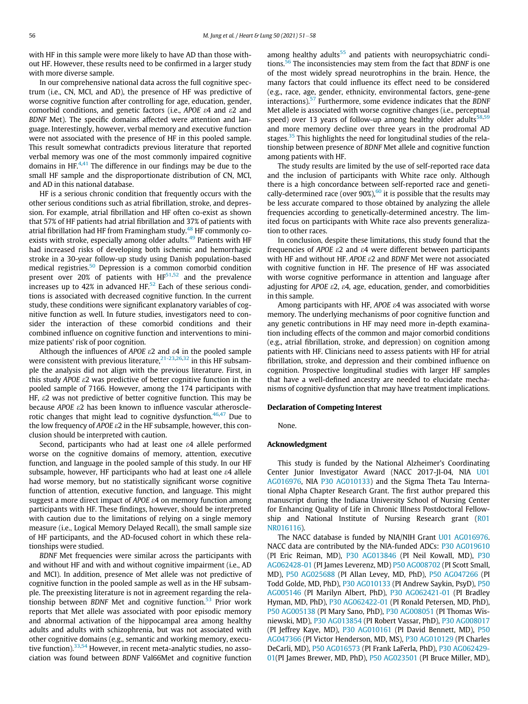with HF in this sample were more likely to have AD than those without HF. However, these results need to be confirmed in a larger study with more diverse sample.

In our comprehensive national data across the full cognitive spectrum (i.e., CN, MCI, and AD), the presence of HF was predictive of worse cognitive function after controlling for age, education, gender, comorbid conditions, and genetic factors (i.e., APOE  $\varepsilon$ 4 and  $\varepsilon$ 2 and BDNF Met). The specific domains affected were attention and language. Interestingly, however, verbal memory and executive function were not associated with the presence of HF in this pooled sample. This result somewhat contradicts previous literature that reported verbal memory was one of the most commonly impaired cognitive domains in HF.[4,](#page-6-3)[41](#page-6-26) The difference in our findings may be due to the small HF sample and the disproportionate distribution of CN, MCI, and AD in this national database.

HF is a serious chronic condition that frequently occurs with the other serious conditions such as atrial fibrillation, stroke, and depression. For example, atrial fibrillation and HF often co-exist as shown that 57% of HF patients had atrial fibrillation and 37% of patients with atrial fibrillation had HF from Framingham study.<sup>[48](#page-6-34)</sup> HF commonly co-exists with stroke, especially among older adults.<sup>[49](#page-6-35)</sup> Patients with HF had increased risks of developing both ischemic and hemorrhagic stroke in a 30-year follow-up study using Danish population-based medical registries.[50](#page-6-36) Depression is a common comorbid condition present over 20% of patients with  $HF<sup>51,52</sup>$  $HF<sup>51,52</sup>$  $HF<sup>51,52</sup>$  $HF<sup>51,52</sup>$  and the prevalence increases up to 42% in advanced HF.<sup>[52](#page-6-38)</sup> Each of these serious conditions is associated with decreased cognitive function. In the current study, these conditions were significant explanatory variables of cognitive function as well. In future studies, investigators need to consider the interaction of these comorbid conditions and their combined influence on cognitive function and interventions to minimize patients' risk of poor cognition.

Although the influences of APOE  $\varepsilon$ 2 and  $\varepsilon$ 4 in the pooled sample were consistent with previous literature,  $21-23,26,32$  $21-23,26,32$  $21-23,26,32$  $21-23,26,32$  $21-23,26,32$  in this HF subsample the analysis did not align with the previous literature. First, in this study  $APOE$   $\varepsilon$ 2 was predictive of better cognitive function in the pooled sample of 7166. However, among the 174 participants with HF,  $\varepsilon$ 2 was not predictive of better cognitive function. This may be because APOE  $\epsilon$ 2 has been known to influence vascular atheroscle-rotic changes that might lead to cognitive dysfunction.<sup>[46,](#page-6-32)[47](#page-6-33)</sup> Due to the low frequency of APOE  $\varepsilon$ 2 in the HF subsample, however, this conclusion should be interpreted with caution.

<span id="page-5-0"></span>Second, participants who had at least one  $\epsilon$ 4 allele performed worse on the cognitive domains of memory, attention, executive function, and language in the pooled sample of this study. In our HF subsample, however, HF participants who had at least one  $\varepsilon$ 4 allele had worse memory, but no statistically significant worse cognitive function of attention, executive function, and language. This might suggest a more direct impact of APOE  $\varepsilon$ 4 on memory function among participants with HF. These findings, however, should be interpreted with caution due to the limitations of relying on a single memory measure (i.e., Logical Memory Delayed Recall), the small sample size of HF participants, and the AD-focused cohort in which these relationships were studied.

<span id="page-5-2"></span><span id="page-5-1"></span>BDNF Met frequencies were similar across the participants with and without HF and with and without cognitive impairment (i.e., AD and MCI). In addition, presence of Met allele was not predictive of cognitive function in the pooled sample as well as in the HF subsample. The preexisting literature is not in agreement regarding the rela-tionship between BDNF Met and cognitive function.<sup>[53](#page-6-39)</sup> Prior work reports that Met allele was associated with poor episodic memory and abnormal activation of the hippocampal area among healthy adults and adults with schizophrenia, but was not associated with other cognitive domains (e.g., semantic and working memory, execu-tive function).<sup>[33](#page-6-20),[54](#page-6-40)</sup> However, in recent meta-analytic studies, no association was found between BDNF Val66Met and cognitive function

among healthy adults $55$  and patients with neuropsychiatric condi-tions.<sup>[56](#page-7-1)</sup> The inconsistencies may stem from the fact that BDNF is one of the most widely spread neurotrophins in the brain. Hence, the many factors that could influence its effect need to be considered (e.g., race, age, gender, ethnicity, environmental factors, gene-gene interactions).<sup>[57](#page-7-2)</sup> Furthermore, some evidence indicates that the BDNF Met allele is associated with worse cognitive changes (i.e., perceptual speed) over 13 years of follow-up among healthy older adults $58,59$  $58,59$ and more memory decline over three years in the prodromal AD stages.<sup>[35](#page-6-42)</sup> This highlights the need for longitudinal studies of the relationship between presence of BDNF Met allele and cognitive function among patients with HF.

The study results are limited by the use of self-reported race data and the inclusion of participants with White race only. Although there is a high concordance between self-reported race and genetically-determined race (over  $90\%)$ <sup>[60](#page-7-0)</sup> it is possible that the results may be less accurate compared to those obtained by analyzing the allele frequencies according to genetically-determined ancestry. The limited focus on participants with White race also prevents generalization to other races.

In conclusion, despite these limitations, this study found that the frequencies of APOE  $\epsilon$ 2 and  $\epsilon$ 4 were different between participants with HF and without HF. APOE  $\varepsilon$ 2 and BDNF Met were not associated with cognitive function in HF. The presence of HF was associated with worse cognitive performance in attention and language after adjusting for APOE  $\varepsilon$ 2,  $\varepsilon$ 4, age, education, gender, and comorbidities in this sample.

Among participants with HF, APOE  $\varepsilon$ 4 was associated with worse memory. The underlying mechanisms of poor cognitive function and any genetic contributions in HF may need more in-depth examination including effects of the common and major comorbid conditions (e.g., atrial fibrillation, stroke, and depression) on cognition among patients with HF. Clinicians need to assess patients with HF for atrial fibrillation, stroke, and depression and their combined influence on cognition. Prospective longitudinal studies with larger HF samples that have a well-defined ancestry are needed to elucidate mechanisms of cognitive dysfunction that may have treatment implications.

### Declaration of Competing Interest

None.

## Acknowledgment

This study is funded by the National Alzheimer's Coordinating Center Junior Investigator Award (NACC 2017-JI-04, NIA [U01](#page-5-0) [AG016976,](#page-5-0) NIA [P30 AG010133\)](#page-5-0) and the Sigma Theta Tau International Alpha Chapter Research Grant. The first author prepared this manuscript during the Indiana University School of Nursing Center for Enhancing Quality of Life in Chronic Illness Postdoctoral Fellow-ship and National Institute of Nursing Research grant ([R01](#page-5-1) [NR016116\)](#page-5-1).

The NACC database is funded by NIA/NIH Grant [U01 AG016976.](#page-5-2) NACC data are contributed by the NIA-funded ADCs: [P30 AG019610](#page-5-2) (PI Eric Reiman, MD), [P30 AG013846](#page-5-2) (PI Neil Kowall, MD), [P30](#page-5-2) [AG062428-01](#page-5-2) (PI James Leverenz, MD) [P50 AG008702](#page-5-2) (PI Scott Small, MD), [P50 AG025688](#page-5-2) (PI Allan Levey, MD, PhD), [P50 AG047266](#page-5-2) (PI Todd Golde, MD, PhD), [P30 AG010133](#page-5-2) (PI Andrew Saykin, PsyD), [P50](#page-5-2) [AG005146](#page-5-2) (PI Marilyn Albert, PhD), [P30 AG062421-01](#page-5-2) (PI Bradley Hyman, MD, PhD), [P30 AG062422-01](#page-5-2) (PI Ronald Petersen, MD, PhD), [P50 AG005138](#page-5-2) (PI Mary Sano, PhD), [P30 AG008051](#page-5-2) (PI Thomas Wisniewski, MD), [P30 AG013854](#page-5-2) (PI Robert Vassar, PhD), [P30 AG008017](#page-5-2) (PI Jeffrey Kaye, MD), [P30 AG010161](#page-5-2) (PI David Bennett, MD), [P50](#page-5-2) [AG047366](#page-5-2) (PI Victor Henderson, MD, MS), [P30 AG010129](#page-5-2) (PI Charles DeCarli, MD), [P50 AG016573](#page-5-2) (PI Frank LaFerla, PhD), [P30 AG062429-](#page-5-2) [01\(](#page-5-2)PI James Brewer, MD, PhD), [P50 AG023501](#page-5-2) (PI Bruce Miller, MD),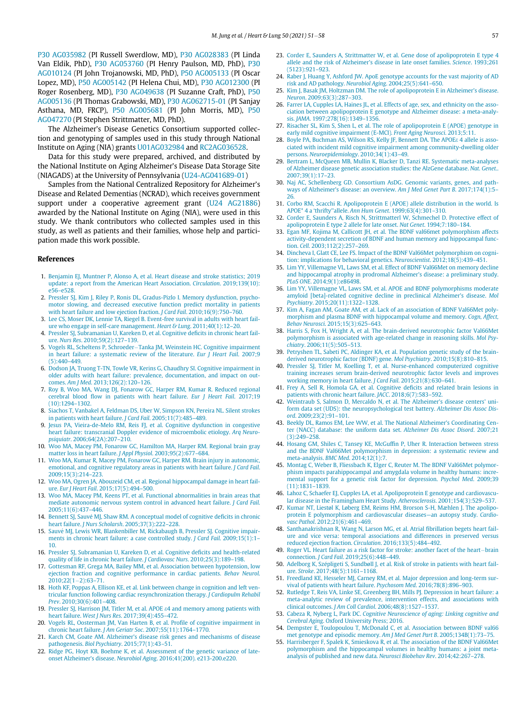<span id="page-6-15"></span><span id="page-6-11"></span>[P30 AG035982](#page-5-2) (PI Russell Swerdlow, MD), [P30 AG028383](#page-5-2) (PI Linda Van Eldik, PhD), [P30 AG053760](#page-5-2) (PI Henry Paulson, MD, PhD), [P30](#page-5-2) [AG010124](#page-5-2) (PI John Trojanowski, MD, PhD), [P50 AG005133](#page-5-2) (PI Oscar Lopez, MD), [P50 AG005142](#page-5-2) (PI Helena Chui, MD), [P30 AG012300](#page-5-2) (PI Roger Rosenberg, MD), [P30 AG049638](#page-5-2) (PI Suzanne Craft, PhD), [P50](#page-5-2) [AG005136](#page-5-2) (PI Thomas Grabowski, MD), [P30 AG062715-01](#page-5-2) (PI Sanjay Asthana, MD, FRCP), [P50 AG005681](#page-5-2) (PI John Morris, MD), [P50](#page-5-2) [AG047270](#page-5-2) (PI Stephen Strittmatter, MD, PhD).

<span id="page-6-18"></span><span id="page-6-13"></span><span id="page-6-12"></span>The Alzheimer's Disease Genetics Consortium supported collection and genotyping of samples used in this study through National Institute on Aging (NIA) grants [U01AG032984](#page-5-2) and [RC2AG036528.](#page-5-2)

<span id="page-6-14"></span>Data for this study were prepared, archived, and distributed by the National Institute on Aging Alzheimer's Disease Data Storage Site (NIAGADS) at the University of Pennsylvania [\(U24-AG041689-01\)](#page-5-2)

<span id="page-6-19"></span><span id="page-6-17"></span><span id="page-6-16"></span>Samples from the National Centralized Repository for Alzheimer's Disease and Related Dementias (NCRAD), which receives government support under a cooperative agreement grant [\(U24 AG21886\)](#page-5-2) awarded by the National Institute on Aging (NIA), were used in this study. We thank contributors who collected samples used in this study, as well as patients and their families, whose help and participation made this work possible.

#### <span id="page-6-42"></span><span id="page-6-21"></span><span id="page-6-20"></span><span id="page-6-0"></span>References

- 1. [Benjamin EJ, Muntner P, Alonso A, et al. Heart disease and stroke statistics; 2019](http://refhub.elsevier.com/S0147-9563(20)30274-0/sbref0001) [update: a report from the American Heart Association.](http://refhub.elsevier.com/S0147-9563(20)30274-0/sbref0001) Circulation. 2019;139(10): e56–[e528.](http://refhub.elsevier.com/S0147-9563(20)30274-0/sbref0001)
- <span id="page-6-1"></span>2. [Pressler SJ, Kim J, Riley P, Ronis DL, Gradus-Pizlo I. Memory dysfunction, psycho](http://refhub.elsevier.com/S0147-9563(20)30274-0/sbref0002)[motor slowing, and decreased executive function predict mortality in patients](http://refhub.elsevier.com/S0147-9563(20)30274-0/sbref0002) [with heart failure and low ejection fraction.](http://refhub.elsevier.com/S0147-9563(20)30274-0/sbref0002) *J Card Fail*. 2010;16(9):750-760.
- <span id="page-6-22"></span><span id="page-6-2"></span>3. [Lee CS, Moser DK, Lennie TA, Riegel B. Event-free survival in adults with heart fail](http://refhub.elsevier.com/S0147-9563(20)30274-0/sbref0003)[ure who engage in self-care management.](http://refhub.elsevier.com/S0147-9563(20)30274-0/sbref0003) Heart & Lung. 2011;40(1):12–20.
- <span id="page-6-23"></span><span id="page-6-3"></span>4. [Pressler SJ, Subramanian U, Kareken D, et al. Cognitive de](http://refhub.elsevier.com/S0147-9563(20)30274-0/sbref0004)ficits in chronic heart failure. Nurs Res[. 2010;59\(2\):127](http://refhub.elsevier.com/S0147-9563(20)30274-0/sbref0004)–139.
- <span id="page-6-24"></span><span id="page-6-5"></span>5. [Vogels RL, Scheltens P, Schroeder](http://refhub.elsevier.com/S0147-9563(20)30274-0/sbref0005)-[Tanka JM, Weinstein HC. Cognitive impairment](http://refhub.elsevier.com/S0147-9563(20)30274-0/sbref0005) [in heart failure: a systematic review of the literature.](http://refhub.elsevier.com/S0147-9563(20)30274-0/sbref0005) Eur J Heart Fail. 2007;9 [\(5\):440](http://refhub.elsevier.com/S0147-9563(20)30274-0/sbref0005)–449.
- <span id="page-6-25"></span>6. [Dodson JA, Truong T-TN, Towle VR, Kerins G, Chaudhry SI. Cognitive impairment in](http://refhub.elsevier.com/S0147-9563(20)30274-0/sbref0006) [older adults with heart failure: prevalence, documentation, and impact on out](http://refhub.elsevier.com/S0147-9563(20)30274-0/sbref0006)comes. Am J Med[. 2013;126\(2\):120](http://refhub.elsevier.com/S0147-9563(20)30274-0/sbref0006)–126.
- <span id="page-6-26"></span>7. [Roy B, Woo MA, Wang DJ, Fonarow GC, Harper RM, Kumar R. Reduced regional](http://refhub.elsevier.com/S0147-9563(20)30274-0/sbref0007) cerebral blood fl[ow in patients with heart failure.](http://refhub.elsevier.com/S0147-9563(20)30274-0/sbref0007) Eur J Heart Fail. 2017;19 [\(10\):1294](http://refhub.elsevier.com/S0147-9563(20)30274-0/sbref0007)–1302.
- <span id="page-6-28"></span>8. [Siachos T, Vanbakel A, Feldman DS, Uber W, Simpson KN, Pereira NL. Silent strokes](http://refhub.elsevier.com/S0147-9563(20)30274-0/sbref0008) [in patients with heart failure.](http://refhub.elsevier.com/S0147-9563(20)30274-0/sbref0008) J Card Fail. 2005;11(7):485–489.
- <span id="page-6-29"></span>9. [Jesus PA, Vieira-de-Melo RM, Reis FJ, et al. Cognitive dysfunction in congestive](http://refhub.elsevier.com/S0147-9563(20)30274-0/sbref0009) [heart failure: transcranial Doppler evidence of microembolic etiology.](http://refhub.elsevier.com/S0147-9563(20)30274-0/sbref0009) Arq Neuropsiquiatr[. 2006;64\(2A\):207](http://refhub.elsevier.com/S0147-9563(20)30274-0/sbref0009)–210.
- <span id="page-6-30"></span><span id="page-6-4"></span>10. [Woo MA, Macey PM, Fonarow GC, Hamilton MA, Harper RM. Regional brain gray](http://refhub.elsevier.com/S0147-9563(20)30274-0/sbref0010) [matter loss in heart failure.](http://refhub.elsevier.com/S0147-9563(20)30274-0/sbref0010) J Appl Physiol. 2003;95(2):677–684.
- <span id="page-6-31"></span>11. [Woo MA, Kumar R, Macey PM, Fonarow GC, Harper RM. Brain injury in autonomic,](http://refhub.elsevier.com/S0147-9563(20)30274-0/sbref0011) [emotional, and cognitive regulatory areas in patients with heart failure.](http://refhub.elsevier.com/S0147-9563(20)30274-0/sbref0011) J Card Fail. [2009;15\(3\):214](http://refhub.elsevier.com/S0147-9563(20)30274-0/sbref0011)–223.
- 12. [Woo MA, Ogren JA, Abouzeid CM, et al. Regional hippocampal damage in heart fail](http://refhub.elsevier.com/S0147-9563(20)30274-0/sbref0012)ure. Eur J Heart Fail[. 2015;17\(5\):494](http://refhub.elsevier.com/S0147-9563(20)30274-0/sbref0012)–500.
- <span id="page-6-32"></span>13. [Woo MA, Macey PM, Keens PT, et al. Functional abnormalities in brain areas that](http://refhub.elsevier.com/S0147-9563(20)30274-0/sbref0013) [mediate autonomic nervous system control in advanced heart failure.](http://refhub.elsevier.com/S0147-9563(20)30274-0/sbref0013) J Card Fail. [2005;11\(6\):437](http://refhub.elsevier.com/S0147-9563(20)30274-0/sbref0013)–446.
- <span id="page-6-33"></span><span id="page-6-6"></span>14. [Bennett SJ, Sauv](http://refhub.elsevier.com/S0147-9563(20)30274-0/sbref0014)é [MJ, Shaw RM. A conceptual model of cognitive de](http://refhub.elsevier.com/S0147-9563(20)30274-0/sbref0014)ficits in chronic heart failure. J Nurs Scholarsh[. 2005;37\(3\):222](http://refhub.elsevier.com/S0147-9563(20)30274-0/sbref0014)–228.
- <span id="page-6-34"></span><span id="page-6-27"></span>15. [Sauve MJ, Lewis WR, Blankenbiller M, Rickabaugh B, Pressler SJ. Cognitive impair](http://refhub.elsevier.com/S0147-9563(20)30274-0/sbref0015) [ments in chronic heart failure: a case controlled study.](http://refhub.elsevier.com/S0147-9563(20)30274-0/sbref0015) J Card Fail. 2009;15(1):1– [10.](http://refhub.elsevier.com/S0147-9563(20)30274-0/sbref0015)
- <span id="page-6-35"></span>16. [Pressler SJ, Subramanian U, Kareken D, et al. Cognitive de](http://refhub.elsevier.com/S0147-9563(20)30274-0/sbref0016)ficits and health-related [quality of life in chronic heart failure.](http://refhub.elsevier.com/S0147-9563(20)30274-0/sbref0016) J Cardiovasc Nurs. 2010;25(3):189–198. 17. [Gottesman RF, Grega MA, Bailey MM, et al. Association between hypotension, low](http://refhub.elsevier.com/S0147-9563(20)30274-0/sbref0017)
- <span id="page-6-36"></span>[ejection fraction and cognitive performance in cardiac patients.](http://refhub.elsevier.com/S0147-9563(20)30274-0/sbref0017) Behav Neurol.  $2010:22(1-2):63-71.$  $2010:22(1-2):63-71.$  $2010:22(1-2):63-71.$
- <span id="page-6-38"></span><span id="page-6-37"></span>18. [Hoth KF, Poppas A, Ellison KE, et al. Link between change in cognition and left ven](http://refhub.elsevier.com/S0147-9563(20)30274-0/sbref0018)[tricular function following cardiac resynchronization therapy.](http://refhub.elsevier.com/S0147-9563(20)30274-0/sbref0018) J Cardiopulm Rehabil Prev[. 2010;30\(6\):401](http://refhub.elsevier.com/S0147-9563(20)30274-0/sbref0018)–408.
- <span id="page-6-39"></span><span id="page-6-7"></span>19. [Pressler SJ, Harrison JM, Titler M, et al. APOE](http://refhub.elsevier.com/S0147-9563(20)30274-0/sbref0019)  $\varepsilon$ [4 and memory among patients with](http://refhub.elsevier.com/S0147-9563(20)30274-0/sbref0019) heart failure. West J Nurs Res[. 2017;39\(4\):455](http://refhub.elsevier.com/S0147-9563(20)30274-0/sbref0019)–472.
- <span id="page-6-40"></span><span id="page-6-8"></span>20. [Vogels RL, Oosterman JM, Van Harten B, et al. Pro](http://refhub.elsevier.com/S0147-9563(20)30274-0/sbref0020)file of cognitive impairment in [chronic heart failure.](http://refhub.elsevier.com/S0147-9563(20)30274-0/sbref0020) J Am Geriatr Soc. 2007;55(11):1764–1770.
- <span id="page-6-41"></span><span id="page-6-9"></span>21. Karch CM, Goate AM. Alzheimer'[s disease risk genes and mechanisms of disease](http://refhub.elsevier.com/S0147-9563(20)30274-0/sbref0021) pathogenesis. Biol Psychiatry[. 2015;77\(1\):43](http://refhub.elsevier.com/S0147-9563(20)30274-0/sbref0021)–51.
- <span id="page-6-10"></span>22. [Ridge PG, Hoyt KB, Boehme K, et al. Assessment of the genetic variance of late](http://refhub.elsevier.com/S0147-9563(20)30274-0/sbref0022)onset Alzheimer's disease. Neurobiol Aging[. 2016;41\(200\). e213-200.e220.](http://refhub.elsevier.com/S0147-9563(20)30274-0/sbref0022)
- 23. [Corder E, Saunders A, Strittmatter W, et al. Gene dose of apolipoprotein E type 4](http://refhub.elsevier.com/S0147-9563(20)30274-0/sbref0023) [allele and the risk of Alzheimer's disease in late onset families.](http://refhub.elsevier.com/S0147-9563(20)30274-0/sbref0023) Science. 1993;261 [\(5123\):921](http://refhub.elsevier.com/S0147-9563(20)30274-0/sbref0023)–923.
- 24. [Raber J, Huang Y, Ashford JW. ApoE genotype accounts for the vast majority of AD](http://refhub.elsevier.com/S0147-9563(20)30274-0/sbref0024) [risk and AD pathology.](http://refhub.elsevier.com/S0147-9563(20)30274-0/sbref0024) Neurobiol Aging. 2004;25(5):641–650.
- 25. [Kim J, Basak JM, Holtzman DM. The role of apolipoprotein E in Alzheimer's disease.](http://refhub.elsevier.com/S0147-9563(20)30274-0/sbref0025) Neuron[. 2009;63\(3\):287](http://refhub.elsevier.com/S0147-9563(20)30274-0/sbref0025)–303.
- 26. [Farrer LA, Cupples LA, Haines JL, et al. Effects of age, sex, and ethnicity on the asso](http://refhub.elsevier.com/S0147-9563(20)30274-0/sbref0026)[ciation between apolipoprotein E genotype and Alzheimer disease: a meta-analy](http://refhub.elsevier.com/S0147-9563(20)30274-0/sbref0026)sis. JAMA[. 1997;278\(16\):1349](http://refhub.elsevier.com/S0147-9563(20)30274-0/sbref0026)–1356.
- 27. [Risacher SL, Kim S, Shen L, et al. The role of apolipoprotein E \(APOE\) genotype in](http://refhub.elsevier.com/S0147-9563(20)30274-0/sbref0027) [early mild cognitive impairment \(E-MCI\).](http://refhub.elsevier.com/S0147-9563(20)30274-0/sbref0027) Front Aging Neurosci. 2013;5:11.
- 28. [Boyle PA, Buchman AS, Wilson RS, Kelly JF, Bennett DA. The APOE](http://refhub.elsevier.com/S0147-9563(20)30274-0/sbref0028)& [4 allele is asso](http://refhub.elsevier.com/S0147-9563(20)30274-0/sbref0028)[ciated with incident mild cognitive impairment among community-dwelling older](http://refhub.elsevier.com/S0147-9563(20)30274-0/sbref0028) persons. [Neuroepidemiology](http://refhub.elsevier.com/S0147-9563(20)30274-0/sbref0028). 2010;34(1):43-49.
- 29. [Bertram L, McQueen MB, Mullin K, Blacker D, Tanzi RE. Systematic meta-analyses](http://refhub.elsevier.com/S0147-9563(20)30274-0/sbref0029) [of Alzheimer disease genetic association studies: the AlzGene database.](http://refhub.elsevier.com/S0147-9563(20)30274-0/sbref0029) Nat. Genet.. [2007;39\(1\):17](http://refhub.elsevier.com/S0147-9563(20)30274-0/sbref0029)–23.
- 30. [Naj AC, Schellenberg GD. Consortium AsDG. Genomic variants, genes, and path](http://refhub.elsevier.com/S0147-9563(20)30274-0/sbref0030)[ways of Alzheimer's disease: an overview.](http://refhub.elsevier.com/S0147-9563(20)30274-0/sbref0030) Am J Med Genet Part B. 2017;174(1):5– [26.](http://refhub.elsevier.com/S0147-9563(20)30274-0/sbref0030)
- 31. [Corbo RM, Scacchi R. Apolipoprotein E \(APOE\) allele distribution in the world. Is](http://refhub.elsevier.com/S0147-9563(20)30274-0/sbref0031) APOE\* 4 a 'thrifty''allele. Ann Hum Genet[. 1999;63\(4\):301](http://refhub.elsevier.com/S0147-9563(20)30274-0/sbref0031)–310.
- 32. [Corder E, Saunders A, Risch N, Strittmatterl W, Schmechel D. Protective effect of](http://refhub.elsevier.com/S0147-9563(20)30274-0/sbref0032) [apolipoprotein E type 2 allele for late onset.](http://refhub.elsevier.com/S0147-9563(20)30274-0/sbref0032) Nat Genet. 1994;7:180–184.
- 33. [Egan MF, Kojima M, Callicott JH, et al. The BDNF val66met polymorphism affects](http://refhub.elsevier.com/S0147-9563(20)30274-0/sbref0033) [activity-dependent secretion of BDNF and human memory and hippocampal func](http://refhub.elsevier.com/S0147-9563(20)30274-0/sbref0033)tion. Cell[. 2003;112\(2\):257](http://refhub.elsevier.com/S0147-9563(20)30274-0/sbref0033)–269.
- 34. [Dincheva I, Glatt CE, Lee FS. Impact of the BDNF Val66Met polymorphism on cogni](http://refhub.elsevier.com/S0147-9563(20)30274-0/sbref0034)[tion: implications for behavioral genetics.](http://refhub.elsevier.com/S0147-9563(20)30274-0/sbref0034) Neuroscientist. 2012;18(5):439–451.
- 35. [Lim YY, Villemagne VL, Laws SM, et al. Effect of BDNF Val66Met on memory decline](http://refhub.elsevier.com/S0147-9563(20)30274-0/sbref0035) [and hippocampal atrophy in prodromal Alzheimer](http://refhub.elsevier.com/S0147-9563(20)30274-0/sbref0035)'s disease: a preliminary study. PLoS ONE[. 2014;9\(1\):e86498.](http://refhub.elsevier.com/S0147-9563(20)30274-0/sbref0035)
- 36. [Lim YY, Villemagne VL, Laws SM, et al. APOE and BDNF polymorphisms moderate](http://refhub.elsevier.com/S0147-9563(20)30274-0/sbref0036) [amyloid \[beta\]-related cognitive decline in preclinical Alzheimer's disease.](http://refhub.elsevier.com/S0147-9563(20)30274-0/sbref0036) Mol Psychiatry[. 2015;20\(11\):1322](http://refhub.elsevier.com/S0147-9563(20)30274-0/sbref0036)–1328.
- 37. [Kim A, Fagan AM, Goate AM, et al. Lack of an association of BDNF Val66Met poly](http://refhub.elsevier.com/S0147-9563(20)30274-0/sbref0037)[morphism and plasma BDNF with hippocampal volume and memory.](http://refhub.elsevier.com/S0147-9563(20)30274-0/sbref0037) Cogn, Affect, Behav Neurosci[. 2015;15\(3\):625](http://refhub.elsevier.com/S0147-9563(20)30274-0/sbref0037)–643.
- 38. [Harris S, Fox H, Wright A, et al. The brain-derived neurotrophic factor Val66Met](http://refhub.elsevier.com/S0147-9563(20)30274-0/sbref0038) [polymorphism is associated with age-related change in reasoning skills.](http://refhub.elsevier.com/S0147-9563(20)30274-0/sbref0038) Mol Psychiatry[. 2006;11\(5\):505](http://refhub.elsevier.com/S0147-9563(20)30274-0/sbref0038)–513.
- 39. [Petryshen TL, Sabeti PC, Aldinger KA, et al. Population genetic study of the brain](http://refhub.elsevier.com/S0147-9563(20)30274-0/sbref0039)[derived neurotrophic factor \(BDNF\) gene.](http://refhub.elsevier.com/S0147-9563(20)30274-0/sbref0039) Mol Psychiatry. 2010;15(8):810–815.
- 40. [Pressler SJ, Titler M, Koelling T, et al. Nurse-enhanced computerized cognitive](http://refhub.elsevier.com/S0147-9563(20)30274-0/sbref0040) [training increases serum brain-derived neurotrophic factor levels and improves](http://refhub.elsevier.com/S0147-9563(20)30274-0/sbref0040) [working memory in heart failure.](http://refhub.elsevier.com/S0147-9563(20)30274-0/sbref0040) J Card Fail. 2015;21(8):630–641.
- 41. [Frey A, Sell R, Homola GA, et al. Cognitive de](http://refhub.elsevier.com/S0147-9563(20)30274-0/sbref0041)ficits and related brain lesions in [patients with chronic heart failure.](http://refhub.elsevier.com/S0147-9563(20)30274-0/sbref0041) JACC. 2018;6(7):583–592.
- 42. [Weintraub S, Salmon D, Mercaldo N, et al. The Alzheimer](http://refhub.elsevier.com/S0147-9563(20)30274-0/sbref0042)'s disease centers' uni[form data set \(UDS\): the neuropsychological test battery.](http://refhub.elsevier.com/S0147-9563(20)30274-0/sbref0042) Alzheimer Dis Assoc Disord[. 2009;23\(2\):91](http://refhub.elsevier.com/S0147-9563(20)30274-0/sbref0042)–101.
- 43. [Beekly DL, Ramos EM, Lee WW, et al. The National Alzheimer's Coordinating Cen](http://refhub.elsevier.com/S0147-9563(20)30274-0/sbref0043)[ter \(NACC\) database: the uniform data set.](http://refhub.elsevier.com/S0147-9563(20)30274-0/sbref0043) Alzheimer Dis Assoc Disord. 2007;21 [\(3\):249](http://refhub.elsevier.com/S0147-9563(20)30274-0/sbref0043)–258.
- 44. [Hosang GM, Shiles C, Tansey KE, McGuf](http://refhub.elsevier.com/S0147-9563(20)30274-0/sbref0045)fin P, Uher R. Interaction between stress [and the BDNF Val66Met polymorphism in depression: a systematic review and](http://refhub.elsevier.com/S0147-9563(20)30274-0/sbref0045) meta-analysis. BMC Med[. 2014;12\(1\):7.](http://refhub.elsevier.com/S0147-9563(20)30274-0/sbref0045)
- 45. [Montag C, Weber B, Fliessbach K, Elger C, Reuter M. The BDNF Val66Met polymor](http://refhub.elsevier.com/S0147-9563(20)30274-0/sbref0046)[phism impacts parahippocampal and amygdala volume in healthy humans: incre](http://refhub.elsevier.com/S0147-9563(20)30274-0/sbref0046)[mental support for a genetic risk factor for depression.](http://refhub.elsevier.com/S0147-9563(20)30274-0/sbref0046) Psychol Med. 2009;39 [\(11\):1831](http://refhub.elsevier.com/S0147-9563(20)30274-0/sbref0046)–1839.
- 46. [Lahoz C, Schaefer EJ, Cupples LA, et al. Apolipoprotein E genotype and cardiovascu-](http://refhub.elsevier.com/S0147-9563(20)30274-0/sbref0047)[lar disease in the Framingham Heart Study.](http://refhub.elsevier.com/S0147-9563(20)30274-0/sbref0047) Atherosclerosis. 2001;154(3):529–537.
- 47. [Kumar NT, Liestøl K, Løberg EM, Reims HM, Brorson S-H, Mæhlen J. The apolipo](http://refhub.elsevier.com/S0147-9563(20)30274-0/sbref0048)[protein E polymorphism and cardiovascular diseases](http://refhub.elsevier.com/S0147-9563(20)30274-0/sbref0048)—an autopsy study. Cardiovasc Pathol[. 2012;21\(6\):461](http://refhub.elsevier.com/S0147-9563(20)30274-0/sbref0048)–469.
- 48. [Santhanakrishnan R, Wang N, Larson MG, et al. Atrial](http://refhub.elsevier.com/S0147-9563(20)30274-0/sbref0049) fibrillation begets heart fail[ure and vice versa: temporal associations and differences in preserved versus](http://refhub.elsevier.com/S0147-9563(20)30274-0/sbref0049) [reduced ejection fraction.](http://refhub.elsevier.com/S0147-9563(20)30274-0/sbref0049) Circulation. 2016;133(5):484–492.
- **49.** [Roger VL. Heart failure as a risk factor for stroke: another facet of the heart](http://refhub.elsevier.com/S0147-9563(20)30274-0/sbref0050)–[brain](http://refhub.elsevier.com/S0147-9563(20)30274-0/sbref0050) connection. *J Card Fail.* 2019;25(6):448–449.
- 50. Adelborg K, Szépligeti S, Sundbøll J, et al. Risk of stroke in patients with heart failure. Stroke[. 2017;48\(5\):1161](http://refhub.elsevier.com/S0147-9563(20)30274-0/sbref0051)–1168.
- 51. [Freedland KE, Hesseler MJ, Carney RM, et al. Major depression and long-term sur](http://refhub.elsevier.com/S0147-9563(20)30274-0/sbref0052)[vival of patients with heart failure.](http://refhub.elsevier.com/S0147-9563(20)30274-0/sbref0052) Psychosom Med. 2016;78(8):896–903.
- 52. [Rutledge T, Reis VA, Linke SE, Greenberg BH, Mills PJ. Depression in heart failure: a](http://refhub.elsevier.com/S0147-9563(20)30274-0/sbref0053) [meta-analytic review of prevalence, intervention effects, and associations with](http://refhub.elsevier.com/S0147-9563(20)30274-0/sbref0053) clinical outcomes. J Am Coll Cardiol[. 2006;48\(8\):1527](http://refhub.elsevier.com/S0147-9563(20)30274-0/sbref0053)–1537.
- 53. Cabeza R, Nyberg L, Park DC. [Cognitive Neuroscience of aging: Linking cognitive and](http://refhub.elsevier.com/S0147-9563(20)30274-0/sbref0054) Cerebral Aging[. Oxford University Press; 2016.](http://refhub.elsevier.com/S0147-9563(20)30274-0/sbref0054)
- 54. [Dempster E, Toulopoulou T, McDonald C, et al. Association between BDNF val66](http://refhub.elsevier.com/S0147-9563(20)30274-0/sbref0055) [met genotype and episodic memory.](http://refhub.elsevier.com/S0147-9563(20)30274-0/sbref0055) Am J Med Genet Part B. 2005;134B(1):73–75.
- 55. [Harrisberger F, Spalek K, Smieskova R, et al. The association of the BDNF Val66Met](http://refhub.elsevier.com/S0147-9563(20)30274-0/sbref0056) [polymorphism and the hippocampal volumes in healthy humans: a joint meta](http://refhub.elsevier.com/S0147-9563(20)30274-0/sbref0056)[analysis of published and new data.](http://refhub.elsevier.com/S0147-9563(20)30274-0/sbref0056) Neurosci Biobehav Rev. 2014;42:267–278.